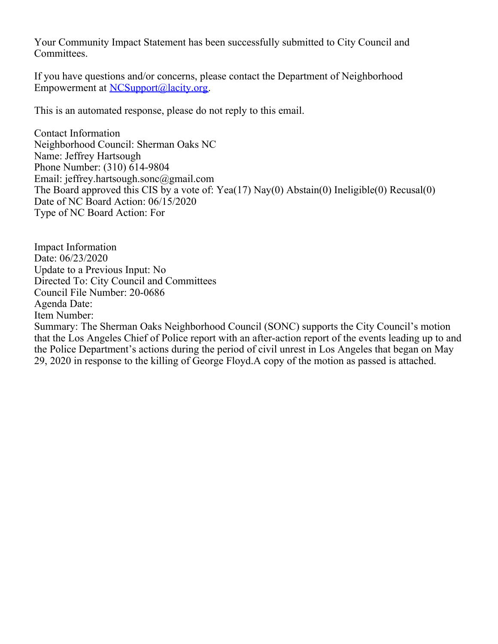Your Community Impact Statement has been successfully submitted to City Council and Committees.

If you have questions and/or concerns, please contact the Department of Neighborhood Empowerment at [NCSupport@lacity.org](mailto:NCSupport@lacity.org).

This is an automated response, please do not reply to this email.

Contact Information Neighborhood Council: Sherman Oaks NC Name: Jeffrey Hartsough Phone Number: (310) 614-9804 Email: jeffrey.hartsough.sonc@gmail.com The Board approved this CIS by a vote of: Yea(17) Nay(0) Abstain(0) Ineligible(0) Recusal(0) Date of NC Board Action: 06/15/2020 Type of NC Board Action: For

Impact Information Date: 06/23/2020 Update to a Previous Input: No Directed To: City Council and Committees Council File Number: 20-0686 Agenda Date: Item Number: Summary: The Sherman Oaks Neighborhood Council (SONC) supports the City Council's motion that the Los Angeles Chief of Police report with an after-action report of the events leading up to and the Police Department's actions during the period of civil unrest in Los Angeles that began on May 29, 2020 in response to the killing of George Floyd.A copy of the motion as passed is attached.